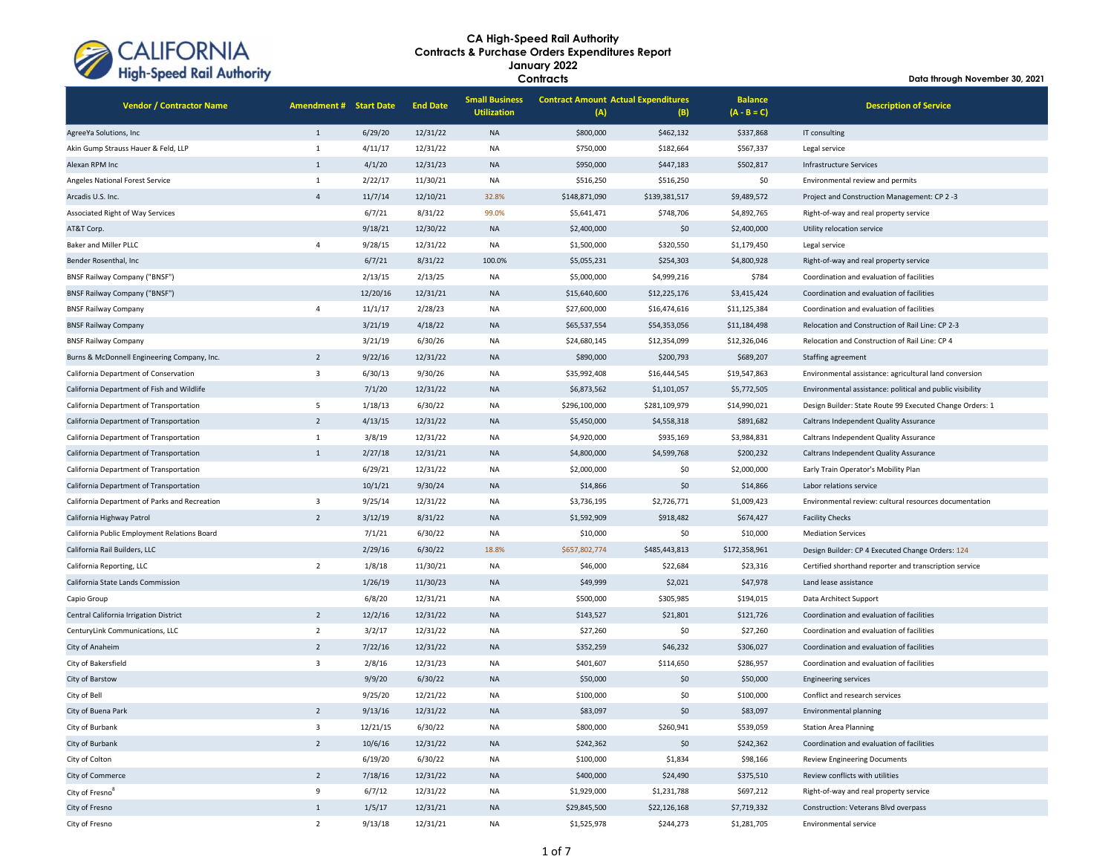

**Contracts**

| <b>Vendor / Contractor Name</b>               | <b>Amendment # Start Date</b> |          | <b>End Date</b> | <b>Small Business</b><br><b>Utilization</b> | <b>Contract Amount Actual Expenditures</b><br>(A) | (B)           | <b>Balance</b><br>$(A - B = C)$ | <b>Description of Service</b>                             |
|-----------------------------------------------|-------------------------------|----------|-----------------|---------------------------------------------|---------------------------------------------------|---------------|---------------------------------|-----------------------------------------------------------|
| AgreeYa Solutions, Inc                        | $\mathbf{1}$                  | 6/29/20  | 12/31/22        | <b>NA</b>                                   | \$800,000                                         | \$462,132     | \$337,868                       | IT consulting                                             |
| Akin Gump Strauss Hauer & Feld, LLP           | $\mathbf{1}$                  | 4/11/17  | 12/31/22        | <b>NA</b>                                   | \$750,000                                         | \$182,664     | \$567,337                       | Legal service                                             |
| Alexan RPM Inc                                | $\mathbf{1}$                  | 4/1/20   | 12/31/23        | <b>NA</b>                                   | \$950,000                                         | \$447,183     | \$502,817                       | Infrastructure Services                                   |
| Angeles National Forest Service               | $\mathbf{1}$                  | 2/22/17  | 11/30/21        | NA                                          | \$516,250                                         | \$516,250     | \$0                             | Environmental review and permits                          |
| Arcadis U.S. Inc.                             | $\overline{4}$                | 11/7/14  | 12/10/21        | 32.8%                                       | \$148,871,090                                     | \$139,381,517 | \$9,489,572                     | Project and Construction Management: CP 2 -3              |
| Associated Right of Way Services              |                               | 6/7/21   | 8/31/22         | 99.0%                                       | \$5,641,471                                       | \$748,706     | \$4,892,765                     | Right-of-way and real property service                    |
| AT&T Corp.                                    |                               | 9/18/21  | 12/30/22        | <b>NA</b>                                   | \$2,400,000                                       | \$0           | \$2,400,000                     | Utility relocation service                                |
| Baker and Miller PLLC                         | 4                             | 9/28/15  | 12/31/22        | NA                                          | \$1,500,000                                       | \$320,550     | \$1,179,450                     | Legal service                                             |
| Bender Rosenthal, Inc.                        |                               | 6/7/21   | 8/31/22         | 100.0%                                      | \$5,055,231                                       | \$254,303     | \$4,800,928                     | Right-of-way and real property service                    |
| <b>BNSF Railway Company ("BNSF")</b>          |                               | 2/13/15  | 2/13/25         | <b>NA</b>                                   | \$5,000,000                                       | \$4,999,216   | \$784                           | Coordination and evaluation of facilities                 |
| <b>BNSF Railway Company ("BNSF")</b>          |                               | 12/20/16 | 12/31/21        | <b>NA</b>                                   | \$15,640,600                                      | \$12,225,176  | \$3,415,424                     | Coordination and evaluation of facilities                 |
| <b>BNSF Railway Company</b>                   | $\overline{4}$                | 11/1/17  | 2/28/23         | NA                                          | \$27,600,000                                      | \$16,474,616  | \$11,125,384                    | Coordination and evaluation of facilities                 |
| <b>BNSF Railway Company</b>                   |                               | 3/21/19  | 4/18/22         | <b>NA</b>                                   | \$65,537,554                                      | \$54,353,056  | \$11,184,498                    | Relocation and Construction of Rail Line: CP 2-3          |
| <b>BNSF Railway Company</b>                   |                               | 3/21/19  | 6/30/26         | NA                                          | \$24,680,145                                      | \$12,354,099  | \$12,326,046                    | Relocation and Construction of Rail Line: CP 4            |
| Burns & McDonnell Engineering Company, Inc.   | $\overline{2}$                | 9/22/16  | 12/31/22        | <b>NA</b>                                   | \$890,000                                         | \$200,793     | \$689,207                       | <b>Staffing agreement</b>                                 |
| California Department of Conservation         | $\overline{3}$                | 6/30/13  | 9/30/26         | NA                                          | \$35,992,408                                      | \$16,444,545  | \$19,547,863                    | Environmental assistance: agricultural land conversion    |
| California Department of Fish and Wildlife    |                               | 7/1/20   | 12/31/22        | <b>NA</b>                                   | \$6,873,562                                       | \$1,101,057   | \$5,772,505                     | Environmental assistance: political and public visibility |
| California Department of Transportation       | 5                             | 1/18/13  | 6/30/22         | <b>NA</b>                                   | \$296,100,000                                     | \$281,109,979 | \$14,990,021                    | Design Builder: State Route 99 Executed Change Orders: 1  |
| California Department of Transportation       | $\overline{2}$                | 4/13/15  | 12/31/22        | <b>NA</b>                                   | \$5,450,000                                       | \$4,558,318   | \$891,682                       | Caltrans Independent Quality Assurance                    |
| California Department of Transportation       | $\mathbf{1}$                  | 3/8/19   | 12/31/22        | NA                                          | \$4,920,000                                       | \$935,169     | \$3,984,831                     | Caltrans Independent Quality Assurance                    |
| California Department of Transportation       | $\mathbf{1}$                  | 2/27/18  | 12/31/21        | <b>NA</b>                                   | \$4,800,000                                       | \$4,599,768   | \$200,232                       | Caltrans Independent Quality Assurance                    |
| California Department of Transportation       |                               | 6/29/21  | 12/31/22        | NA                                          | \$2,000,000                                       | \$0           | \$2,000,000                     | Early Train Operator's Mobility Plan                      |
| California Department of Transportation       |                               | 10/1/21  | 9/30/24         | <b>NA</b>                                   | \$14,866                                          | \$0           | \$14,866                        | Labor relations service                                   |
| California Department of Parks and Recreation | $\overline{3}$                | 9/25/14  | 12/31/22        | NA                                          | \$3,736,195                                       | \$2,726,771   | \$1,009,423                     | Environmental review: cultural resources documentation    |
| California Highway Patrol                     | $\overline{2}$                | 3/12/19  | 8/31/22         | <b>NA</b>                                   | \$1,592,909                                       | \$918,482     | \$674,427                       | <b>Facility Checks</b>                                    |
| California Public Employment Relations Board  |                               | 7/1/21   | 6/30/22         | NA                                          | \$10,000                                          | \$0           | \$10,000                        | <b>Mediation Services</b>                                 |
| California Rail Builders, LLC                 |                               | 2/29/16  | 6/30/22         | 18.8%                                       | \$657,802,774                                     | \$485,443,813 | \$172,358,961                   | Design Builder: CP 4 Executed Change Orders: 124          |
| California Reporting, LLC                     | $\overline{2}$                | 1/8/18   | 11/30/21        | <b>NA</b>                                   | \$46,000                                          | \$22,684      | \$23,316                        | Certified shorthand reporter and transcription service    |
| California State Lands Commission             |                               | 1/26/19  | 11/30/23        | <b>NA</b>                                   | \$49,999                                          | \$2,021       | \$47,978                        | Land lease assistance                                     |
| Capio Group                                   |                               | 6/8/20   | 12/31/21        | <b>NA</b>                                   | \$500,000                                         | \$305,985     | \$194,015                       | Data Architect Support                                    |
| Central California Irrigation District        | $\overline{2}$                | 12/2/16  | 12/31/22        | <b>NA</b>                                   | \$143,527                                         | \$21,801      | \$121,726                       | Coordination and evaluation of facilities                 |
| CenturyLink Communications, LLC               | $\overline{2}$                | 3/2/17   | 12/31/22        | <b>NA</b>                                   | \$27,260                                          | \$0           | \$27,260                        | Coordination and evaluation of facilities                 |
| City of Anaheim                               | $\overline{2}$                | 7/22/16  | 12/31/22        | <b>NA</b>                                   | \$352,259                                         | \$46,232      | \$306,027                       | Coordination and evaluation of facilities                 |
| City of Bakersfield                           | $\overline{\mathbf{3}}$       | 2/8/16   | 12/31/23        | <b>NA</b>                                   | \$401,607                                         | \$114,650     | \$286,957                       | Coordination and evaluation of facilities                 |
| City of Barstow                               |                               | 9/9/20   | 6/30/22         | <b>NA</b>                                   | \$50,000                                          | \$0           | \$50,000                        | <b>Engineering services</b>                               |
| City of Bell                                  |                               | 9/25/20  | 12/21/22        | <b>NA</b>                                   | \$100,000                                         | \$0           | \$100,000                       | Conflict and research services                            |
| City of Buena Park                            | $\overline{2}$                | 9/13/16  | 12/31/22        | <b>NA</b>                                   | \$83,097                                          | \$0           | \$83,097                        | <b>Environmental planning</b>                             |
| City of Burbank                               | 3                             | 12/21/15 | 6/30/22         | NA                                          | \$800,000                                         | \$260,941     | \$539,059                       | <b>Station Area Planning</b>                              |
| City of Burbank                               | $\overline{2}$                | 10/6/16  | 12/31/22        | <b>NA</b>                                   | \$242,362                                         | \$0           | \$242,362                       | Coordination and evaluation of facilities                 |
| City of Colton                                |                               | 6/19/20  | 6/30/22         | NA                                          | \$100,000                                         | \$1,834       | \$98,166                        | <b>Review Engineering Documents</b>                       |
| City of Commerce                              | $\overline{2}$                | 7/18/16  | 12/31/22        | <b>NA</b>                                   | \$400,000                                         | \$24,490      | \$375,510                       | Review conflicts with utilities                           |
| City of Fresno <sup>8</sup>                   | 9                             | 6/7/12   | 12/31/22        | NA                                          | \$1,929,000                                       | \$1,231,788   | \$697,212                       | Right-of-way and real property service                    |
| City of Fresno                                | $1\,$                         | 1/5/17   | 12/31/21        | <b>NA</b>                                   | \$29,845,500                                      | \$22,126,168  | \$7,719,332                     | Construction: Veterans Blvd overpass                      |
| City of Fresno                                | $\overline{2}$                | 9/13/18  | 12/31/21        | NA                                          | \$1,525,978                                       | \$244,273     | \$1,281,705                     | Environmental service                                     |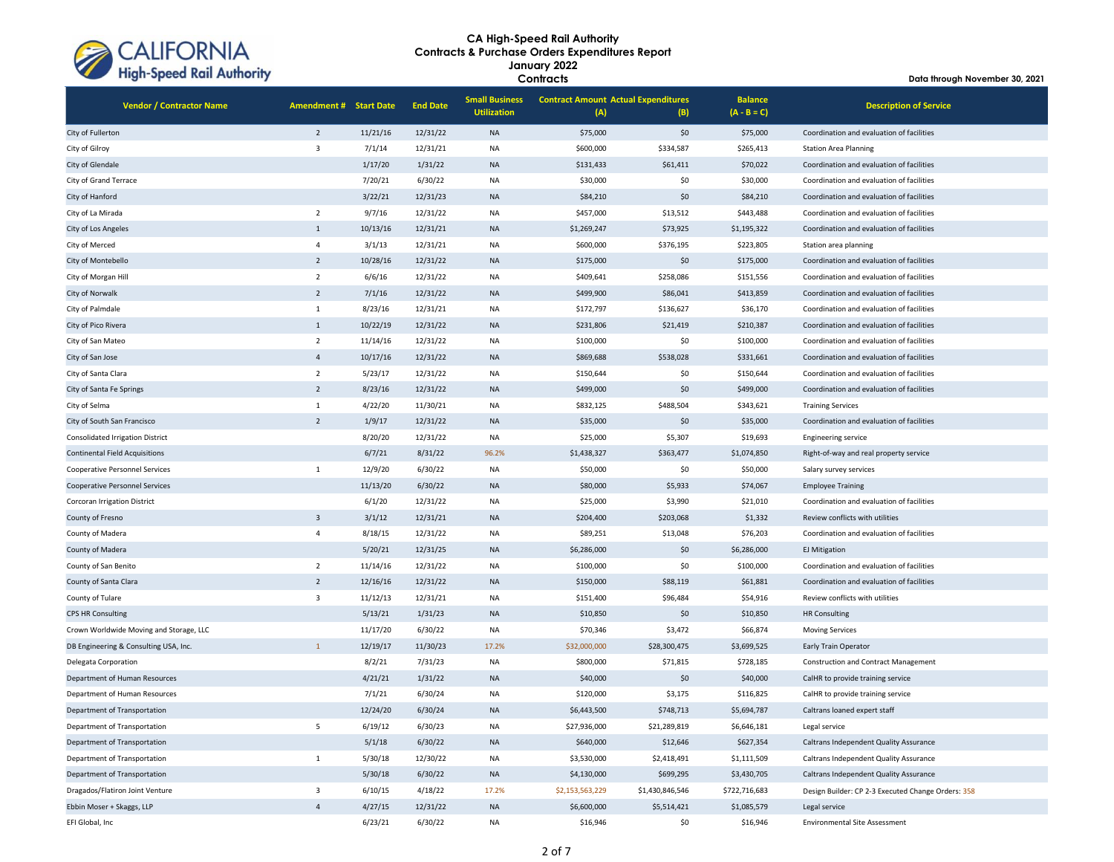

**Contracts**

| <b>Vendor / Contractor Name</b>         | <b>Amendment # Start Date</b> |          | <b>End Date</b> | <b>Small Business</b><br><b>Utilization</b> | <b>Contract Amount Actual Expenditures</b><br>(A) | (B)             | <b>Balance</b><br>$(A - B = C)$ | <b>Description of Service</b>                      |
|-----------------------------------------|-------------------------------|----------|-----------------|---------------------------------------------|---------------------------------------------------|-----------------|---------------------------------|----------------------------------------------------|
| City of Fullerton                       | $\overline{2}$                | 11/21/16 | 12/31/22        | <b>NA</b>                                   | \$75,000                                          | \$0             | \$75,000                        | Coordination and evaluation of facilities          |
| City of Gilroy                          | $\overline{\mathbf{3}}$       | 7/1/14   | 12/31/21        | <b>NA</b>                                   | \$600,000                                         | \$334,587       | \$265,413                       | <b>Station Area Planning</b>                       |
| City of Glendale                        |                               | 1/17/20  | 1/31/22         | <b>NA</b>                                   | \$131,433                                         | \$61,411        | \$70,022                        | Coordination and evaluation of facilities          |
| City of Grand Terrace                   |                               | 7/20/21  | 6/30/22         | <b>NA</b>                                   | \$30,000                                          | \$0             | \$30,000                        | Coordination and evaluation of facilities          |
| City of Hanford                         |                               | 3/22/21  | 12/31/23        | <b>NA</b>                                   | \$84,210                                          | \$0             | \$84,210                        | Coordination and evaluation of facilities          |
| City of La Mirada                       | $\overline{2}$                | 9/7/16   | 12/31/22        | <b>NA</b>                                   | \$457,000                                         | \$13,512        | \$443,488                       | Coordination and evaluation of facilities          |
| City of Los Angeles                     | $\mathbf{1}$                  | 10/13/16 | 12/31/21        | <b>NA</b>                                   | \$1,269,247                                       | \$73,925        | \$1,195,322                     | Coordination and evaluation of facilities          |
| City of Merced                          | $\overline{4}$                | 3/1/13   | 12/31/21        | <b>NA</b>                                   | \$600,000                                         | \$376,195       | \$223,805                       | Station area planning                              |
| City of Montebello                      | $\overline{2}$                | 10/28/16 | 12/31/22        | <b>NA</b>                                   | \$175,000                                         | \$0             | \$175,000                       | Coordination and evaluation of facilities          |
| City of Morgan Hill                     | $\overline{2}$                | 6/6/16   | 12/31/22        | <b>NA</b>                                   | \$409,641                                         | \$258,086       | \$151,556                       | Coordination and evaluation of facilities          |
| City of Norwalk                         | $\overline{2}$                | 7/1/16   | 12/31/22        | <b>NA</b>                                   | \$499,900                                         | \$86,041        | \$413,859                       | Coordination and evaluation of facilities          |
| City of Palmdale                        | $\mathbf{1}$                  | 8/23/16  | 12/31/21        | <b>NA</b>                                   | \$172,797                                         | \$136,627       | \$36,170                        | Coordination and evaluation of facilities          |
| City of Pico Rivera                     | $\mathbf{1}$                  | 10/22/19 | 12/31/22        | <b>NA</b>                                   | \$231,806                                         | \$21,419        | \$210,387                       | Coordination and evaluation of facilities          |
| City of San Mateo                       | $\overline{2}$                | 11/14/16 | 12/31/22        | NA                                          | \$100,000                                         | \$0             | \$100,000                       | Coordination and evaluation of facilities          |
| City of San Jose                        | $\overline{a}$                | 10/17/16 | 12/31/22        | <b>NA</b>                                   | \$869,688                                         | \$538,028       | \$331,661                       | Coordination and evaluation of facilities          |
| City of Santa Clara                     | $\overline{2}$                | 5/23/17  | 12/31/22        | <b>NA</b>                                   | \$150,644                                         | \$0             | \$150,644                       | Coordination and evaluation of facilities          |
| City of Santa Fe Springs                | $\overline{2}$                | 8/23/16  | 12/31/22        | <b>NA</b>                                   | \$499,000                                         | \$0             | \$499,000                       | Coordination and evaluation of facilities          |
| City of Selma                           | $\mathbf 1$                   | 4/22/20  | 11/30/21        | <b>NA</b>                                   | \$832,125                                         | \$488,504       | \$343,621                       | <b>Training Services</b>                           |
| City of South San Francisco             | $\overline{2}$                | 1/9/17   | 12/31/22        | <b>NA</b>                                   | \$35,000                                          | \$0             | \$35,000                        | Coordination and evaluation of facilities          |
| Consolidated Irrigation District        |                               | 8/20/20  | 12/31/22        | NA                                          | \$25,000                                          | \$5,307         | \$19,693                        | <b>Engineering service</b>                         |
| <b>Continental Field Acquisitions</b>   |                               | 6/7/21   | 8/31/22         | 96.2%                                       | \$1,438,327                                       | \$363,477       | \$1,074,850                     | Right-of-way and real property service             |
| <b>Cooperative Personnel Services</b>   | $\mathbf 1$                   | 12/9/20  | 6/30/22         | <b>NA</b>                                   | \$50,000                                          | \$0             | \$50,000                        | Salary survey services                             |
| <b>Cooperative Personnel Services</b>   |                               | 11/13/20 | 6/30/22         | <b>NA</b>                                   | \$80,000                                          | \$5,933         | \$74,067                        | <b>Employee Training</b>                           |
| Corcoran Irrigation District            |                               | 6/1/20   | 12/31/22        | NA                                          | \$25,000                                          | \$3,990         | \$21,010                        | Coordination and evaluation of facilities          |
| County of Fresno                        | $\overline{3}$                | 3/1/12   | 12/31/21        | <b>NA</b>                                   | \$204,400                                         | \$203,068       | \$1,332                         | Review conflicts with utilities                    |
| County of Madera                        | $\overline{4}$                | 8/18/15  | 12/31/22        | NA                                          | \$89,251                                          | \$13,048        | \$76,203                        | Coordination and evaluation of facilities          |
| County of Madera                        |                               | 5/20/21  | 12/31/25        | <b>NA</b>                                   | \$6,286,000                                       | \$0             | \$6,286,000                     | <b>EJ Mitigation</b>                               |
| County of San Benito                    | $\overline{2}$                | 11/14/16 | 12/31/22        | NA                                          | \$100,000                                         | \$0             | \$100,000                       | Coordination and evaluation of facilities          |
| County of Santa Clara                   | $\overline{2}$                | 12/16/16 | 12/31/22        | <b>NA</b>                                   | \$150,000                                         | \$88,119        | \$61,881                        | Coordination and evaluation of facilities          |
| County of Tulare                        | $\overline{\mathbf{3}}$       | 11/12/13 | 12/31/21        | NA                                          | \$151,400                                         | \$96,484        | \$54,916                        | Review conflicts with utilities                    |
| <b>CPS HR Consulting</b>                |                               | 5/13/21  | 1/31/23         | <b>NA</b>                                   | \$10,850                                          | \$0             | \$10,850                        | <b>HR Consulting</b>                               |
| Crown Worldwide Moving and Storage, LLC |                               | 11/17/20 | 6/30/22         | <b>NA</b>                                   | \$70,346                                          | \$3,472         | \$66,874                        | <b>Moving Services</b>                             |
| DB Engineering & Consulting USA, Inc.   | $\mathbf{1}$                  | 12/19/17 | 11/30/23        | 17.2%                                       | \$32,000,000                                      | \$28,300,475    | \$3,699,525                     | Early Train Operator                               |
| Delegata Corporation                    |                               | 8/2/21   | 7/31/23         | <b>NA</b>                                   | \$800,000                                         | \$71,815        | \$728,185                       | <b>Construction and Contract Management</b>        |
| Department of Human Resources           |                               | 4/21/21  | 1/31/22         | <b>NA</b>                                   | \$40,000                                          | \$0             | \$40,000                        | CalHR to provide training service                  |
| Department of Human Resources           |                               | 7/1/21   | 6/30/24         | <b>NA</b>                                   | \$120,000                                         | \$3,175         | \$116,825                       | CalHR to provide training service                  |
| Department of Transportation            |                               | 12/24/20 | 6/30/24         | <b>NA</b>                                   | \$6,443,500                                       | \$748,713       | \$5,694,787                     | Caltrans loaned expert staff                       |
| Department of Transportation            | 5                             | 6/19/12  | 6/30/23         | <b>NA</b>                                   | \$27,936,000                                      | \$21,289,819    | \$6,646,181                     | Legal service                                      |
| Department of Transportation            |                               | 5/1/18   | 6/30/22         | <b>NA</b>                                   | \$640,000                                         | \$12,646        | \$627,354                       | Caltrans Independent Quality Assurance             |
| Department of Transportation            | $\mathbf 1$                   | 5/30/18  | 12/30/22        | <b>NA</b>                                   | \$3,530,000                                       | \$2,418,491     | \$1,111,509                     | Caltrans Independent Quality Assurance             |
| Department of Transportation            |                               | 5/30/18  | 6/30/22         | <b>NA</b>                                   | \$4,130,000                                       | \$699,295       | \$3,430,705                     | Caltrans Independent Quality Assurance             |
| Dragados/Flatiron Joint Venture         | $\overline{\mathbf{3}}$       | 6/10/15  | 4/18/22         | 17.2%                                       | \$2,153,563,229                                   | \$1,430,846,546 | \$722,716,683                   | Design Builder: CP 2-3 Executed Change Orders: 358 |
| Ebbin Moser + Skaggs, LLP               | $\overline{4}$                | 4/27/15  | 12/31/22        | <b>NA</b>                                   | \$6,600,000                                       | \$5,514,421     | \$1,085,579                     | Legal service                                      |
| EFI Global, Inc                         |                               | 6/23/21  | 6/30/22         | <b>NA</b>                                   | \$16,946                                          | \$0             | \$16,946                        | <b>Environmental Site Assessment</b>               |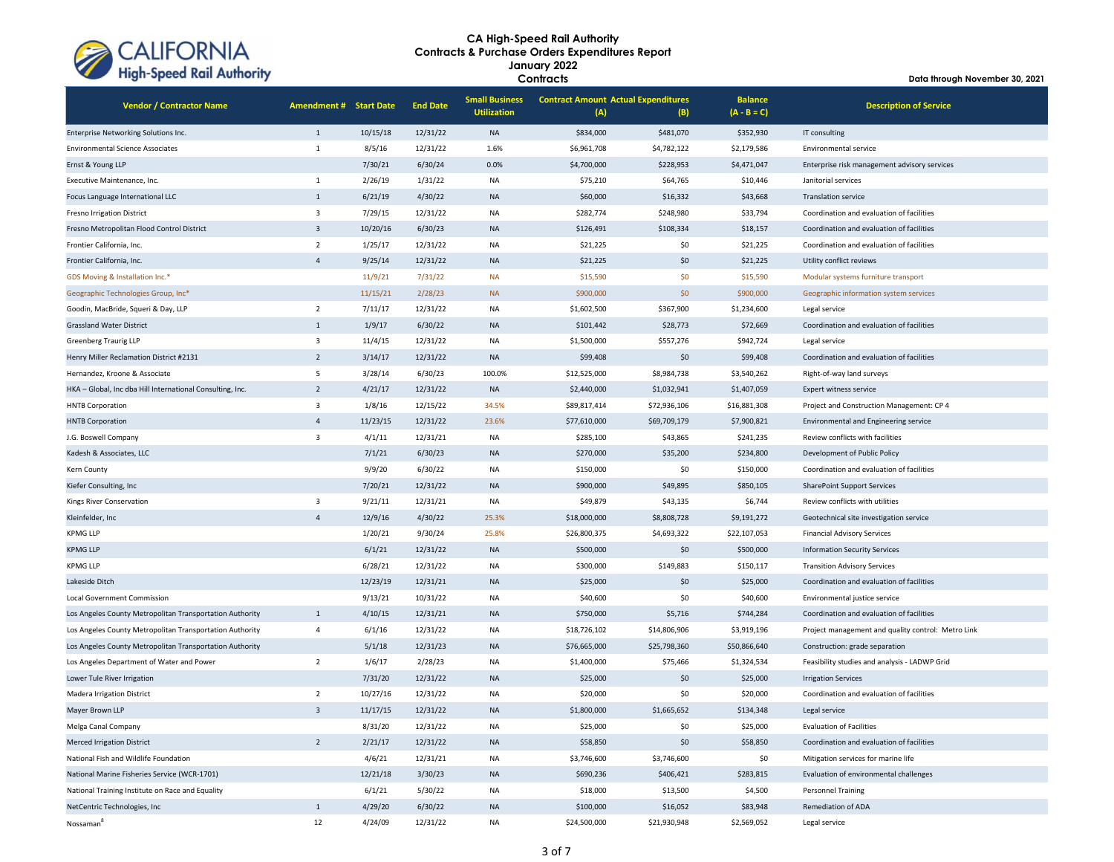

**Contracts**

| <b>Vendor / Contractor Name</b>                           | <b>Amendment # Start Date</b> |          | <b>End Date</b> | <b>Small Business</b><br><b>Utilization</b> | <b>Contract Amount Actual Expenditures</b><br>(A) | (B)          | <b>Balance</b><br>$(A - B = C)$ | <b>Description of Service</b>                      |
|-----------------------------------------------------------|-------------------------------|----------|-----------------|---------------------------------------------|---------------------------------------------------|--------------|---------------------------------|----------------------------------------------------|
| Enterprise Networking Solutions Inc.                      | $\mathbf{1}$                  | 10/15/18 | 12/31/22        | <b>NA</b>                                   | \$834,000                                         | \$481,070    | \$352,930                       | IT consulting                                      |
| <b>Environmental Science Associates</b>                   | 1                             | 8/5/16   | 12/31/22        | 1.6%                                        | \$6,961,708                                       | \$4,782,122  | \$2,179,586                     | Environmental service                              |
| Ernst & Young LLP                                         |                               | 7/30/21  | 6/30/24         | 0.0%                                        | \$4,700,000                                       | \$228,953    | \$4,471,047                     | Enterprise risk management advisory services       |
| Executive Maintenance, Inc.                               | 1                             | 2/26/19  | 1/31/22         | <b>NA</b>                                   | \$75,210                                          | \$64,765     | \$10,446                        | Janitorial services                                |
| Focus Language International LLC                          | $\mathbf{1}$                  | 6/21/19  | 4/30/22         | <b>NA</b>                                   | \$60,000                                          | \$16,332     | \$43,668                        | <b>Translation service</b>                         |
| Fresno Irrigation District                                | $\overline{\mathbf{3}}$       | 7/29/15  | 12/31/22        | <b>NA</b>                                   | \$282,774                                         | \$248,980    | \$33,794                        | Coordination and evaluation of facilities          |
| Fresno Metropolitan Flood Control District                | $\overline{3}$                | 10/20/16 | 6/30/23         | <b>NA</b>                                   | \$126,491                                         | \$108,334    | \$18,157                        | Coordination and evaluation of facilities          |
| Frontier California, Inc.                                 | $\overline{2}$                | 1/25/17  | 12/31/22        | <b>NA</b>                                   | \$21,225                                          | \$0          | \$21,225                        | Coordination and evaluation of facilities          |
| Frontier California, Inc.                                 | $\overline{a}$                | 9/25/14  | 12/31/22        | <b>NA</b>                                   | \$21,225                                          | \$0          | \$21,225                        | Utility conflict reviews                           |
| GDS Moving & Installation Inc.*                           |                               | 11/9/21  | 7/31/22         | <b>NA</b>                                   | \$15,590                                          | \$0          | \$15,590                        | Modular systems furniture transport                |
| Geographic Technologies Group, Inc*                       |                               | 11/15/21 | 2/28/23         | <b>NA</b>                                   | \$900,000                                         | \$0          | \$900,000                       | Geographic information system services             |
| Goodin, MacBride, Squeri & Day, LLP                       | $\overline{2}$                | 7/11/17  | 12/31/22        | <b>NA</b>                                   | \$1,602,500                                       | \$367,900    | \$1,234,600                     | Legal service                                      |
| <b>Grassland Water District</b>                           | 1                             | 1/9/17   | 6/30/22         | <b>NA</b>                                   | \$101,442                                         | \$28,773     | \$72,669                        | Coordination and evaluation of facilities          |
| <b>Greenberg Traurig LLP</b>                              | 3                             | 11/4/15  | 12/31/22        | <b>NA</b>                                   | \$1,500,000                                       | \$557,276    | \$942,724                       | Legal service                                      |
| Henry Miller Reclamation District #2131                   | $\overline{2}$                | 3/14/17  | 12/31/22        | <b>NA</b>                                   | \$99,408                                          | \$0          | \$99,408                        | Coordination and evaluation of facilities          |
| Hernandez, Kroone & Associate                             | 5                             | 3/28/14  | 6/30/23         | 100.0%                                      | \$12,525,000                                      | \$8,984,738  | \$3,540,262                     | Right-of-way land surveys                          |
| HKA - Global, Inc dba Hill International Consulting, Inc. | $\overline{2}$                | 4/21/17  | 12/31/22        | <b>NA</b>                                   | \$2,440,000                                       | \$1,032,941  | \$1,407,059                     | Expert witness service                             |
| <b>HNTB Corporation</b>                                   | 3                             | 1/8/16   | 12/15/22        | 34.5%                                       | \$89,817,414                                      | \$72,936,106 | \$16,881,308                    | Project and Construction Management: CP 4          |
| <b>HNTB Corporation</b>                                   | $\overline{4}$                | 11/23/15 | 12/31/22        | 23.6%                                       | \$77,610,000                                      | \$69,709,179 | \$7,900,821                     | Environmental and Engineering service              |
| J.G. Boswell Company                                      | 3                             | 4/1/11   | 12/31/21        | <b>NA</b>                                   | \$285,100                                         | \$43,865     | \$241,235                       | Review conflicts with facilities                   |
| Kadesh & Associates, LLC                                  |                               | 7/1/21   | 6/30/23         | <b>NA</b>                                   | \$270,000                                         | \$35,200     | \$234,800                       | Development of Public Policy                       |
| Kern County                                               |                               | 9/9/20   | 6/30/22         | <b>NA</b>                                   | \$150,000                                         | \$0          | \$150,000                       | Coordination and evaluation of facilities          |
| Kiefer Consulting, Inc.                                   |                               | 7/20/21  | 12/31/22        | <b>NA</b>                                   | \$900,000                                         | \$49,895     | \$850,105                       | <b>SharePoint Support Services</b>                 |
| Kings River Conservation                                  | 3                             | 9/21/11  | 12/31/21        | <b>NA</b>                                   | \$49,879                                          | \$43,135     | \$6,744                         | Review conflicts with utilities                    |
| Kleinfelder, Inc                                          | $\overline{4}$                | 12/9/16  | 4/30/22         | 25.3%                                       | \$18,000,000                                      | \$8,808,728  | \$9,191,272                     | Geotechnical site investigation service            |
| <b>KPMG LLP</b>                                           |                               | 1/20/21  | 9/30/24         | 25.8%                                       | \$26,800,375                                      | \$4,693,322  | \$22,107,053                    | <b>Financial Advisory Services</b>                 |
| <b>KPMG LLP</b>                                           |                               | 6/1/21   | 12/31/22        | <b>NA</b>                                   | \$500,000                                         | \$0          | \$500,000                       | <b>Information Security Services</b>               |
| <b>KPMG LLP</b>                                           |                               | 6/28/21  | 12/31/22        | <b>NA</b>                                   | \$300,000                                         | \$149,883    | \$150,117                       | <b>Transition Advisory Services</b>                |
| Lakeside Ditch                                            |                               | 12/23/19 | 12/31/21        | <b>NA</b>                                   | \$25,000                                          | \$0          | \$25,000                        | Coordination and evaluation of facilities          |
| Local Government Commission                               |                               | 9/13/21  | 10/31/22        | <b>NA</b>                                   | \$40,600                                          | \$0          | \$40,600                        | Environmental justice service                      |
| Los Angeles County Metropolitan Transportation Authority  | $\mathbf{1}$                  | 4/10/15  | 12/31/21        | <b>NA</b>                                   | \$750,000                                         | \$5,716      | \$744,284                       | Coordination and evaluation of facilities          |
| Los Angeles County Metropolitan Transportation Authority  | $\overline{4}$                | 6/1/16   | 12/31/22        | <b>NA</b>                                   | \$18,726,102                                      | \$14,806,906 | \$3,919,196                     | Project management and quality control: Metro Link |
| Los Angeles County Metropolitan Transportation Authority  |                               | 5/1/18   | 12/31/23        | <b>NA</b>                                   | \$76,665,000                                      | \$25,798,360 | \$50,866,640                    | Construction: grade separation                     |
| Los Angeles Department of Water and Power                 | $\overline{2}$                | 1/6/17   | 2/28/23         | <b>NA</b>                                   | \$1,400,000                                       | \$75,466     | \$1,324,534                     | Feasibility studies and analysis - LADWP Grid      |
| Lower Tule River Irrigation                               |                               | 7/31/20  | 12/31/22        | <b>NA</b>                                   | \$25,000                                          | \$0          | \$25,000                        | <b>Irrigation Services</b>                         |
| Madera Irrigation District                                | $\overline{2}$                | 10/27/16 | 12/31/22        | NA                                          | \$20,000                                          | \$0          | \$20,000                        | Coordination and evaluation of facilities          |
| Mayer Brown LLP                                           | $\overline{3}$                | 11/17/15 | 12/31/22        | <b>NA</b>                                   | \$1,800,000                                       | \$1,665,652  | \$134,348                       | Legal service                                      |
| Melga Canal Company                                       |                               | 8/31/20  | 12/31/22        | <b>NA</b>                                   | \$25,000                                          | \$0          | \$25,000                        | <b>Evaluation of Facilities</b>                    |
| <b>Merced Irrigation District</b>                         | $\overline{2}$                | 2/21/17  | 12/31/22        | <b>NA</b>                                   | \$58,850                                          | \$0          | \$58,850                        | Coordination and evaluation of facilities          |
| National Fish and Wildlife Foundation                     |                               | 4/6/21   | 12/31/21        | <b>NA</b>                                   | \$3,746,600                                       | \$3,746,600  | \$0                             | Mitigation services for marine life                |
| National Marine Fisheries Service (WCR-1701)              |                               | 12/21/18 | 3/30/23         | <b>NA</b>                                   | \$690,236                                         | \$406,421    | \$283,815                       | Evaluation of environmental challenges             |
| National Training Institute on Race and Equality          |                               | 6/1/21   | 5/30/22         | <b>NA</b>                                   | \$18,000                                          | \$13,500     | \$4,500                         | <b>Personnel Training</b>                          |
| NetCentric Technologies, Inc                              | $\mathbf{1}$                  | 4/29/20  | 6/30/22         | <b>NA</b>                                   | \$100,000                                         | \$16,052     | \$83,948                        | Remediation of ADA                                 |
| Nossaman <sup>8</sup>                                     | 12                            | 4/24/09  | 12/31/22        | <b>NA</b>                                   | \$24,500,000                                      | \$21,930,948 | \$2,569,052                     | Legal service                                      |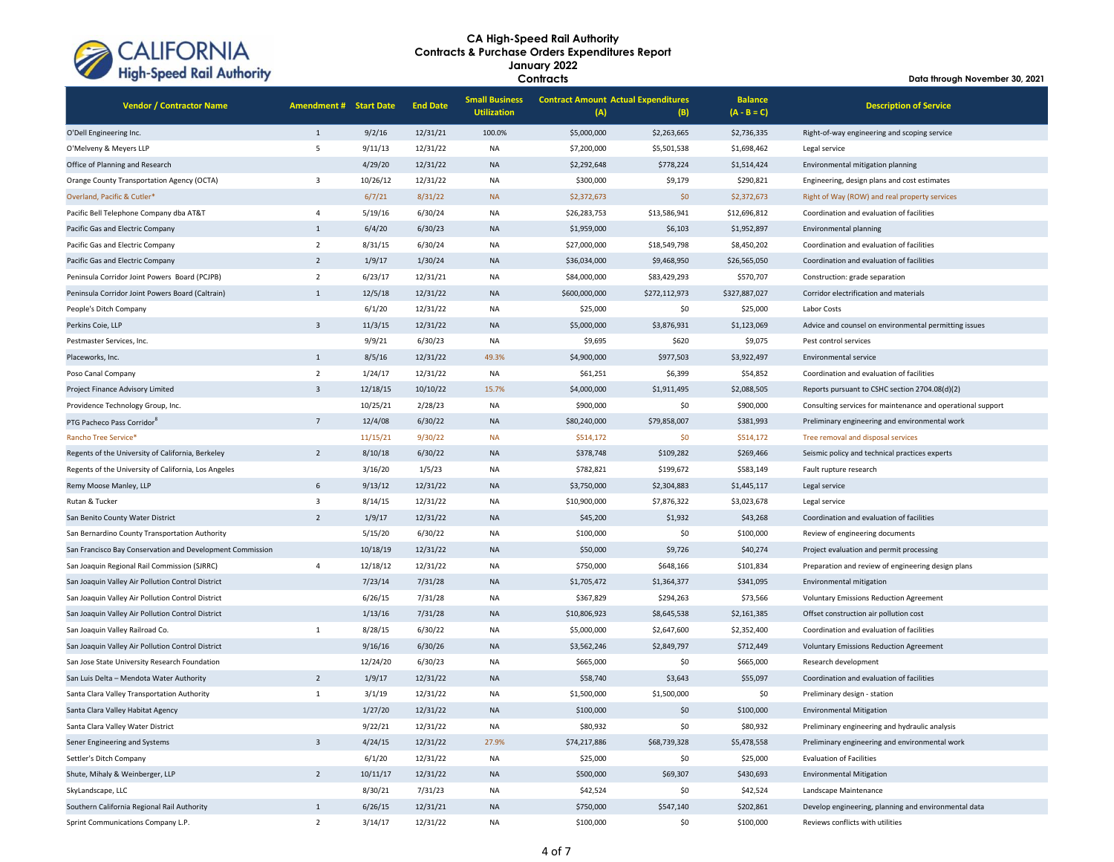

**Contracts**

| <b>Vendor / Contractor Name</b>                           | <b>Amendment # Start Date</b> |          | <b>End Date</b> | <b>Small Business</b><br><b>Utilization</b> | <b>Contract Amount Actual Expenditures</b><br>(A) | (B)           | <b>Balance</b><br>$(A - B = C)$ | <b>Description of Service</b>                               |
|-----------------------------------------------------------|-------------------------------|----------|-----------------|---------------------------------------------|---------------------------------------------------|---------------|---------------------------------|-------------------------------------------------------------|
| O'Dell Engineering Inc.                                   | $\mathbf{1}$                  | 9/2/16   | 12/31/21        | 100.0%                                      | \$5,000,000                                       | \$2,263,665   | \$2,736,335                     | Right-of-way engineering and scoping service                |
| O'Melveny & Meyers LLP                                    | $\overline{5}$                | 9/11/13  | 12/31/22        | <b>NA</b>                                   | \$7,200,000                                       | \$5,501,538   | \$1,698,462                     | Legal service                                               |
| Office of Planning and Research                           |                               | 4/29/20  | 12/31/22        | <b>NA</b>                                   | \$2,292,648                                       | \$778,224     | \$1,514,424                     | Environmental mitigation planning                           |
| Orange County Transportation Agency (OCTA)                | $\overline{\mathbf{3}}$       | 10/26/12 | 12/31/22        | <b>NA</b>                                   | \$300,000                                         | \$9,179       | \$290,821                       | Engineering, design plans and cost estimates                |
| Overland, Pacific & Cutler*                               |                               | 6/7/21   | 8/31/22         | <b>NA</b>                                   | \$2,372,673                                       | \$0           | \$2,372,673                     | Right of Way (ROW) and real property services               |
| Pacific Bell Telephone Company dba AT&T                   | $\overline{4}$                | 5/19/16  | 6/30/24         | <b>NA</b>                                   | \$26,283,753                                      | \$13,586,941  | \$12,696,812                    | Coordination and evaluation of facilities                   |
| Pacific Gas and Electric Company                          | $\mathbf{1}$                  | 6/4/20   | 6/30/23         | <b>NA</b>                                   | \$1,959,000                                       | \$6,103       | \$1,952,897                     | Environmental planning                                      |
| Pacific Gas and Electric Company                          | $\overline{2}$                | 8/31/15  | 6/30/24         | <b>NA</b>                                   | \$27,000,000                                      | \$18,549,798  | \$8,450,202                     | Coordination and evaluation of facilities                   |
| Pacific Gas and Electric Company                          | $\overline{2}$                | 1/9/17   | 1/30/24         | <b>NA</b>                                   | \$36,034,000                                      | \$9,468,950   | \$26,565,050                    | Coordination and evaluation of facilities                   |
| Peninsula Corridor Joint Powers Board (PCJPB)             | $\overline{2}$                | 6/23/17  | 12/31/21        | <b>NA</b>                                   | \$84,000,000                                      | \$83,429,293  | \$570,707                       | Construction: grade separation                              |
| Peninsula Corridor Joint Powers Board (Caltrain)          | $\mathbf{1}$                  | 12/5/18  | 12/31/22        | <b>NA</b>                                   | \$600,000,000                                     | \$272,112,973 | \$327,887,027                   | Corridor electrification and materials                      |
| People's Ditch Company                                    |                               | 6/1/20   | 12/31/22        | <b>NA</b>                                   | \$25,000                                          | \$0           | \$25,000                        | <b>Labor Costs</b>                                          |
| Perkins Coie, LLP                                         | $\overline{3}$                | 11/3/15  | 12/31/22        | <b>NA</b>                                   | \$5,000,000                                       | \$3,876,931   | \$1,123,069                     | Advice and counsel on environmental permitting issues       |
| Pestmaster Services, Inc.                                 |                               | 9/9/21   | 6/30/23         | NA                                          | \$9,695                                           | \$620         | \$9,075                         | Pest control services                                       |
| Placeworks, Inc.                                          | $\mathbf{1}$                  | 8/5/16   | 12/31/22        | 49.3%                                       | \$4,900,000                                       | \$977,503     | \$3,922,497                     | Environmental service                                       |
| Poso Canal Company                                        | $\overline{2}$                | 1/24/17  | 12/31/22        | <b>NA</b>                                   | \$61,251                                          | \$6,399       | \$54,852                        | Coordination and evaluation of facilities                   |
| <b>Project Finance Advisory Limited</b>                   | $\overline{3}$                | 12/18/15 | 10/10/22        | 15.7%                                       | \$4,000,000                                       | \$1,911,495   | \$2,088,505                     | Reports pursuant to CSHC section 2704.08(d)(2)              |
| Providence Technology Group, Inc.                         |                               | 10/25/21 | 2/28/23         | <b>NA</b>                                   | \$900,000                                         | \$0           | \$900,000                       | Consulting services for maintenance and operational support |
| PTG Pacheco Pass Corridor <sup>8</sup>                    | $\overline{7}$                | 12/4/08  | 6/30/22         | <b>NA</b>                                   | \$80,240,000                                      | \$79,858,007  | \$381,993                       | Preliminary engineering and environmental work              |
| Rancho Tree Service*                                      |                               | 11/15/21 | 9/30/22         | <b>NA</b>                                   | \$514,172                                         | \$0           | \$514,172                       | Tree removal and disposal services                          |
| Regents of the University of California, Berkeley         | $\overline{2}$                | 8/10/18  | 6/30/22         | <b>NA</b>                                   | \$378,748                                         | \$109,282     | \$269,466                       | Seismic policy and technical practices experts              |
| Regents of the University of California, Los Angeles      |                               | 3/16/20  | 1/5/23          | NA                                          | \$782,821                                         | \$199,672     | \$583,149                       | Fault rupture research                                      |
| Remy Moose Manley, LLP                                    | 6                             | 9/13/12  | 12/31/22        | <b>NA</b>                                   | \$3,750,000                                       | \$2,304,883   | \$1,445,117                     | Legal service                                               |
| Rutan & Tucker                                            | $\overline{\mathbf{3}}$       | 8/14/15  | 12/31/22        | NA                                          | \$10,900,000                                      | \$7,876,322   | \$3,023,678                     | Legal service                                               |
| San Benito County Water District                          | $\overline{2}$                | 1/9/17   | 12/31/22        | <b>NA</b>                                   | \$45,200                                          | \$1,932       | \$43,268                        | Coordination and evaluation of facilities                   |
| San Bernardino County Transportation Authority            |                               | 5/15/20  | 6/30/22         | NA                                          | \$100,000                                         | \$0           | \$100,000                       | Review of engineering documents                             |
| San Francisco Bay Conservation and Development Commission |                               | 10/18/19 | 12/31/22        | <b>NA</b>                                   | \$50,000                                          | \$9,726       | \$40,274                        | Project evaluation and permit processing                    |
| San Joaquin Regional Rail Commission (SJRRC)              | $\overline{4}$                | 12/18/12 | 12/31/22        | NA                                          | \$750,000                                         | \$648,166     | \$101,834                       | Preparation and review of engineering design plans          |
| San Joaquin Valley Air Pollution Control District         |                               | 7/23/14  | 7/31/28         | <b>NA</b>                                   | \$1,705,472                                       | \$1,364,377   | \$341,095                       | Environmental mitigation                                    |
| San Joaquin Valley Air Pollution Control District         |                               | 6/26/15  | 7/31/28         | NA                                          | \$367,829                                         | \$294,263     | \$73,566                        | <b>Voluntary Emissions Reduction Agreement</b>              |
| San Joaquin Valley Air Pollution Control District         |                               | 1/13/16  | 7/31/28         | <b>NA</b>                                   | \$10,806,923                                      | \$8,645,538   | \$2,161,385                     | Offset construction air pollution cost                      |
| San Joaquin Valley Railroad Co.                           | $\mathbf{1}$                  | 8/28/15  | 6/30/22         | <b>NA</b>                                   | \$5,000,000                                       | \$2,647,600   | \$2,352,400                     | Coordination and evaluation of facilities                   |
| San Joaquin Valley Air Pollution Control District         |                               | 9/16/16  | 6/30/26         | <b>NA</b>                                   | \$3,562,246                                       | \$2,849,797   | \$712,449                       | <b>Voluntary Emissions Reduction Agreement</b>              |
| San Jose State University Research Foundation             |                               | 12/24/20 | 6/30/23         | <b>NA</b>                                   | \$665,000                                         | \$0           | \$665,000                       | Research development                                        |
| San Luis Delta - Mendota Water Authority                  | $\overline{2}$                | 1/9/17   | 12/31/22        | <b>NA</b>                                   | \$58,740                                          | \$3,643       | \$55,097                        | Coordination and evaluation of facilities                   |
| Santa Clara Valley Transportation Authority               | $\mathbf{1}$                  | 3/1/19   | 12/31/22        | <b>NA</b>                                   | \$1,500,000                                       | \$1,500,000   | \$0                             | Preliminary design - station                                |
| Santa Clara Valley Habitat Agency                         |                               | 1/27/20  | 12/31/22        | <b>NA</b>                                   | \$100,000                                         | \$0           | \$100,000                       | <b>Environmental Mitigation</b>                             |
| Santa Clara Valley Water District                         |                               | 9/22/21  | 12/31/22        | <b>NA</b>                                   | \$80,932                                          | \$0           | \$80,932                        | Preliminary engineering and hydraulic analysis              |
| Sener Engineering and Systems                             | $\overline{3}$                | 4/24/15  | 12/31/22        | 27.9%                                       | \$74,217,886                                      | \$68,739,328  | \$5,478,558                     | Preliminary engineering and environmental work              |
| Settler's Ditch Company                                   |                               | 6/1/20   | 12/31/22        | <b>NA</b>                                   | \$25,000                                          | \$0           | \$25,000                        | <b>Evaluation of Facilities</b>                             |
| Shute, Mihaly & Weinberger, LLP                           | $\overline{2}$                | 10/11/17 | 12/31/22        | <b>NA</b>                                   | \$500,000                                         | \$69,307      | \$430,693                       | <b>Environmental Mitigation</b>                             |
| SkyLandscape, LLC                                         |                               | 8/30/21  | 7/31/23         | NA                                          | \$42,524                                          | \$0           | \$42,524                        | Landscape Maintenance                                       |
| Southern California Regional Rail Authority               | $\mathbf{1}$                  | 6/26/15  | 12/31/21        | <b>NA</b>                                   | \$750,000                                         | \$547,140     | \$202,861                       | Develop engineering, planning and environmental data        |
| Sprint Communications Company L.P.                        | $\overline{2}$                | 3/14/17  | 12/31/22        | <b>NA</b>                                   | \$100,000                                         | \$0           | \$100,000                       | Reviews conflicts with utilities                            |
|                                                           |                               |          |                 |                                             |                                                   |               |                                 |                                                             |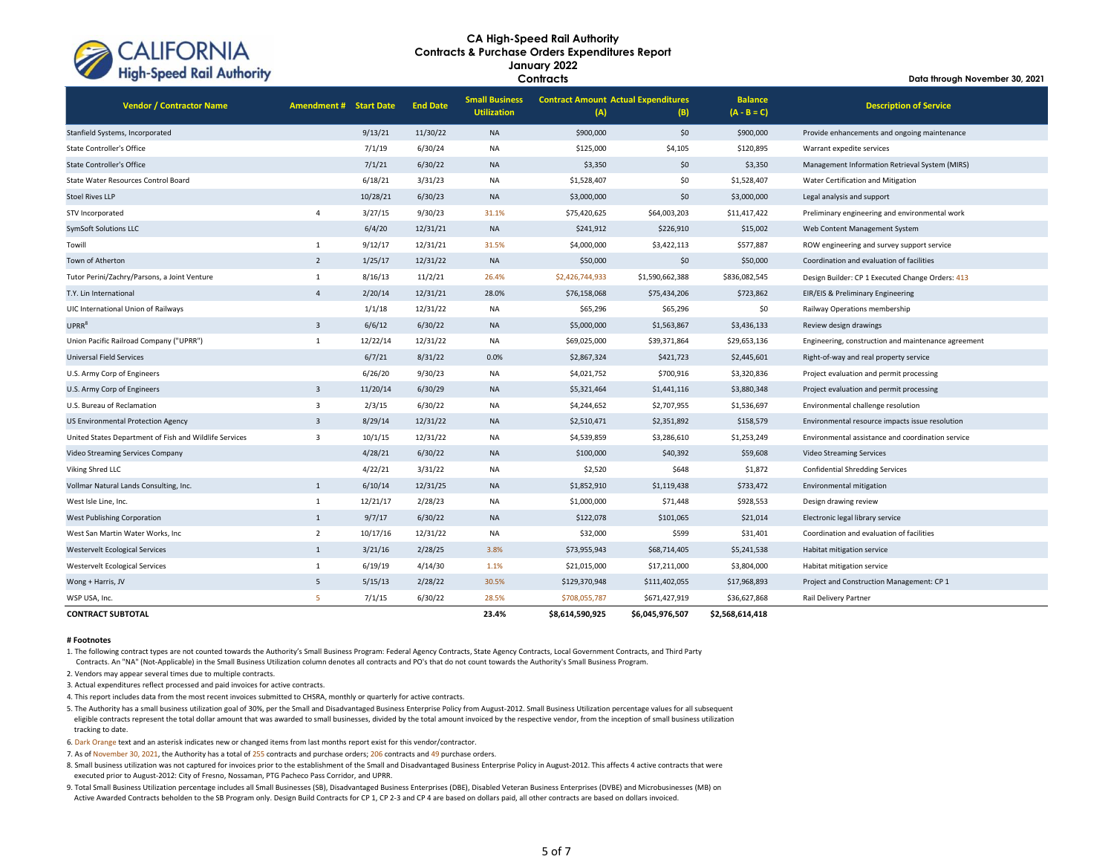

**Data through November 30, 2021**

| <b>Vendor / Contractor Name</b>                        | <b>Amendment # Start Date</b> |          | <b>End Date</b> | <b>Small Business</b><br><b>Utilization</b> | <b>Contract Amount Actual Expenditures</b><br>(A) | (B)             | <b>Balance</b><br>$(A - B = C)$ | <b>Description of Service</b>                       |
|--------------------------------------------------------|-------------------------------|----------|-----------------|---------------------------------------------|---------------------------------------------------|-----------------|---------------------------------|-----------------------------------------------------|
| Stanfield Systems, Incorporated                        |                               | 9/13/21  | 11/30/22        | <b>NA</b>                                   | \$900,000                                         | \$0             | \$900,000                       | Provide enhancements and ongoing maintenance        |
| <b>State Controller's Office</b>                       |                               | 7/1/19   | 6/30/24         | <b>NA</b>                                   | \$125,000                                         | \$4,105         | \$120,895                       | Warrant expedite services                           |
| <b>State Controller's Office</b>                       |                               | 7/1/21   | 6/30/22         | <b>NA</b>                                   | \$3,350                                           | \$0             | \$3,350                         | Management Information Retrieval System (MIRS)      |
| State Water Resources Control Board                    |                               | 6/18/21  | 3/31/23         | <b>NA</b>                                   | \$1,528,407                                       | \$0             | \$1,528,407                     | Water Certification and Mitigation                  |
| <b>Stoel Rives LLP</b>                                 |                               | 10/28/21 | 6/30/23         | <b>NA</b>                                   | \$3,000,000                                       | \$0             | \$3,000,000                     | Legal analysis and support                          |
| STV Incorporated                                       | $\overline{4}$                | 3/27/15  | 9/30/23         | 31.1%                                       | \$75,420,625                                      | \$64,003,203    | \$11,417,422                    | Preliminary engineering and environmental work      |
| <b>SymSoft Solutions LLC</b>                           |                               | 6/4/20   | 12/31/21        | <b>NA</b>                                   | \$241,912                                         | \$226,910       | \$15,002                        | Web Content Management System                       |
| Towill                                                 | $\mathbf{1}$                  | 9/12/17  | 12/31/21        | 31.5%                                       | \$4,000,000                                       | \$3,422,113     | \$577,887                       | ROW engineering and survey support service          |
| Town of Atherton                                       | $\overline{2}$                | 1/25/17  | 12/31/22        | <b>NA</b>                                   | \$50,000                                          | \$0             | \$50,000                        | Coordination and evaluation of facilities           |
| Tutor Perini/Zachry/Parsons, a Joint Venture           | 1                             | 8/16/13  | 11/2/21         | 26.4%                                       | \$2,426,744,933                                   | \$1,590,662,388 | \$836,082,545                   | Design Builder: CP 1 Executed Change Orders: 413    |
| T.Y. Lin International                                 | $\overline{4}$                | 2/20/14  | 12/31/21        | 28.0%                                       | \$76,158,068                                      | \$75,434,206    | \$723,862                       | EIR/EIS & Preliminary Engineering                   |
| UIC International Union of Railways                    |                               | 1/1/18   | 12/31/22        | <b>NA</b>                                   | \$65,296                                          | \$65,296        | \$0                             | Railway Operations membership                       |
| $UPRR^8$                                               | $\overline{3}$                | 6/6/12   | 6/30/22         | <b>NA</b>                                   | \$5,000,000                                       | \$1,563,867     | \$3,436,133                     | Review design drawings                              |
| Union Pacific Railroad Company ("UPRR")                | 1                             | 12/22/14 | 12/31/22        | <b>NA</b>                                   | \$69,025,000                                      | \$39,371,864    | \$29,653,136                    | Engineering, construction and maintenance agreement |
| Universal Field Services                               |                               | 6/7/21   | 8/31/22         | 0.0%                                        | \$2,867,324                                       | \$421,723       | \$2,445,601                     | Right-of-way and real property service              |
| U.S. Army Corp of Engineers                            |                               | 6/26/20  | 9/30/23         | <b>NA</b>                                   | \$4,021,752                                       | \$700,916       | \$3,320,836                     | Project evaluation and permit processing            |
| U.S. Army Corp of Engineers                            | $\overline{\mathbf{3}}$       | 11/20/14 | 6/30/29         | <b>NA</b>                                   | \$5,321,464                                       | \$1,441,116     | \$3,880,348                     | Project evaluation and permit processing            |
| U.S. Bureau of Reclamation                             | $\overline{3}$                | 2/3/15   | 6/30/22         | <b>NA</b>                                   | \$4,244,652                                       | \$2,707,955     | \$1,536,697                     | Environmental challenge resolution                  |
| US Environmental Protection Agency                     | $\overline{3}$                | 8/29/14  | 12/31/22        | <b>NA</b>                                   | \$2,510,471                                       | \$2,351,892     | \$158,579                       | Environmental resource impacts issue resolution     |
| United States Department of Fish and Wildlife Services | $\overline{3}$                | 10/1/15  | 12/31/22        | NA                                          | \$4,539,859                                       | \$3,286,610     | \$1,253,249                     | Environmental assistance and coordination service   |
| Video Streaming Services Company                       |                               | 4/28/21  | 6/30/22         | <b>NA</b>                                   | \$100,000                                         | \$40,392        | \$59,608                        | <b>Video Streaming Services</b>                     |
| Viking Shred LLC                                       |                               | 4/22/21  | 3/31/22         | <b>NA</b>                                   | \$2,520                                           | \$648           | \$1,872                         | <b>Confidential Shredding Services</b>              |
| Vollmar Natural Lands Consulting, Inc.                 | $\mathbf{1}$                  | 6/10/14  | 12/31/25        | <b>NA</b>                                   | \$1,852,910                                       | \$1,119,438     | \$733,472                       | Environmental mitigation                            |
| West Isle Line, Inc.                                   | $\mathbf{1}$                  | 12/21/17 | 2/28/23         | <b>NA</b>                                   | \$1,000,000                                       | \$71,448        | \$928,553                       | Design drawing review                               |
| West Publishing Corporation                            | 1                             | 9/7/17   | 6/30/22         | <b>NA</b>                                   | \$122,078                                         | \$101,065       | \$21,014                        | Electronic legal library service                    |
| West San Martin Water Works, Inc.                      | $\overline{2}$                | 10/17/16 | 12/31/22        | NA                                          | \$32,000                                          | \$599           | \$31,401                        | Coordination and evaluation of facilities           |
| <b>Westervelt Ecological Services</b>                  | 1                             | 3/21/16  | 2/28/25         | 3.8%                                        | \$73,955,943                                      | \$68,714,405    | \$5,241,538                     | Habitat mitigation service                          |
| Westervelt Ecological Services                         | $\mathbf{1}$                  | 6/19/19  | 4/14/30         | 1.1%                                        | \$21,015,000                                      | \$17,211,000    | \$3,804,000                     | Habitat mitigation service                          |
| Wong + Harris, JV                                      | 5                             | 5/15/13  | 2/28/22         | 30.5%                                       | \$129,370,948                                     | \$111,402,055   | \$17,968,893                    | Project and Construction Management: CP 1           |
| WSP USA, Inc.                                          | 5                             | 7/1/15   | 6/30/22         | 28.5%                                       | \$708,055,787                                     | \$671,427,919   | \$36,627,868                    | Rail Delivery Partner                               |
| <b>CONTRACT SUBTOTAL</b>                               |                               |          |                 | 23.4%                                       | \$8,614,590,925                                   | \$6,045,976,507 | \$2,568,614,418                 |                                                     |

#### **# Footnotes**

1. The following contract types are not counted towards the Authority's Small Business Program: Federal Agency Contracts, State Agency Contracts, Local Government Contracts, and Third Party

Contracts. An "NA" (Not-Applicable) in the Small Business Utilization column denotes all contracts and PO's that do not count towards the Authority's Small Business Program.

2. Vendors may appear several times due to multiple contracts.

3. Actual expenditures reflect processed and paid invoices for active contracts.

4. This report includes data from the most recent invoices submitted to CHSRA, monthly or quarterly for active contracts.

5. The Authority has a small business utilization goal of 30%, per the Small and Disadvantaged Business Enterprise Policy from August-2012. Small Business Utilization percentage values for all subsequent eligible contracts represent the total dollar amount that was awarded to small businesses, divided by the total amount invoiced by the respective vendor, from the inception of small business utilization tracking to date.

6. Dark Orange text and an asterisk indicates new or changed items from last months report exist for this vendor/contractor.

7. As of November 30, 2021, the Authority has a total of 255 contracts and purchase orders; 206 contracts and 49 purchase orders.

8. Small business utilization was not captured for invoices prior to the establishment of the Small and Disadvantaged Business Enterprise Policy in August-2012. This affects 4 active contracts that were executed prior to August-2012: City of Fresno, Nossaman, PTG Pacheco Pass Corridor, and UPRR.

9. Total Small Business Utilization percentage includes all Small Businesses (SB), Disadvantaged Business Enterprises (DBE), Disabled Veteran Business Enterprises (DVBE) and Microbusinesses (MB) on Active Awarded Contracts beholden to the SB Program only. Design Build Contracts for CP 1, CP 2-3 and CP 4 are based on dollars paid, all other contracts are based on dollars invoiced.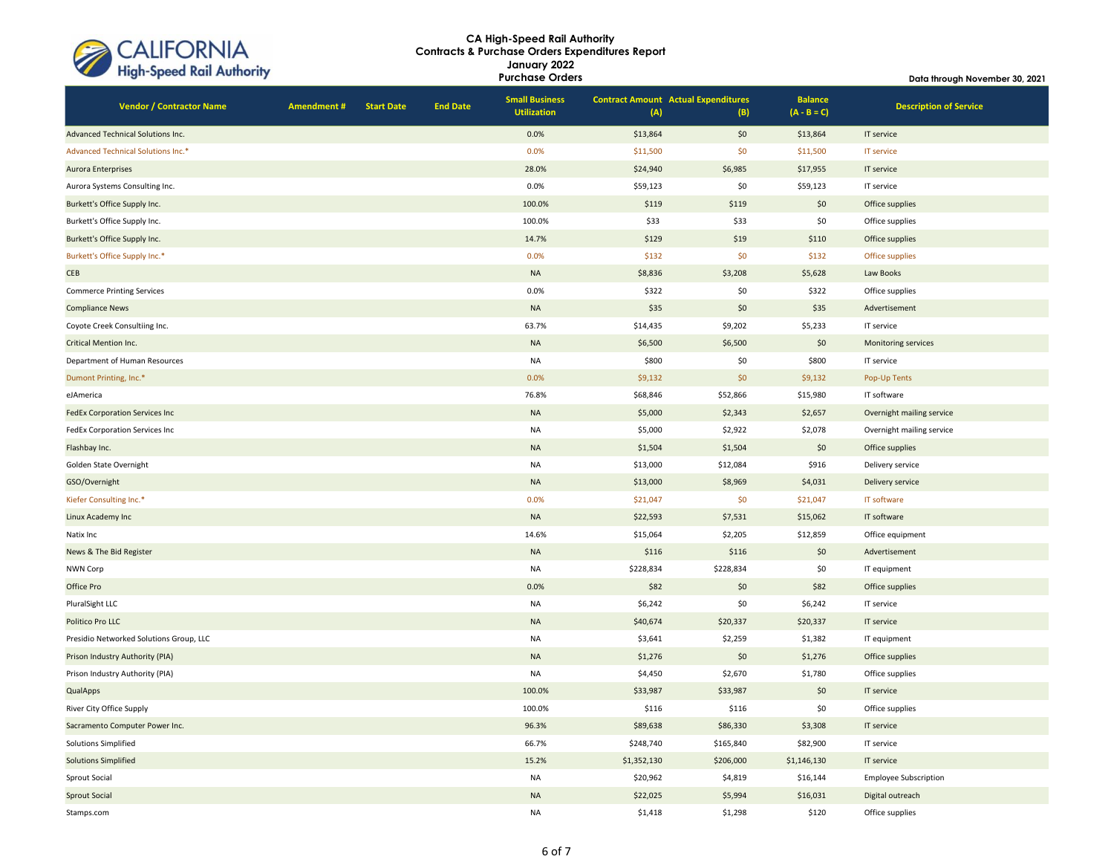| CALIFORNIA<br>High-Speed Rail Authority |
|-----------------------------------------|
|                                         |

| <b>Ingir opeen Kull Authority</b>       |            |                   | Data through November 30, 2021 |                                             |                                                   |           |                                 |                               |  |
|-----------------------------------------|------------|-------------------|--------------------------------|---------------------------------------------|---------------------------------------------------|-----------|---------------------------------|-------------------------------|--|
| <b>Vendor / Contractor Name</b>         | Amendment# | <b>Start Date</b> | <b>End Date</b>                | <b>Small Business</b><br><b>Utilization</b> | <b>Contract Amount Actual Expenditures</b><br>(A) | (B)       | <b>Balance</b><br>$(A - B = C)$ | <b>Description of Service</b> |  |
| Advanced Technical Solutions Inc.       |            |                   |                                | 0.0%                                        | \$13,864                                          | \$0       | \$13,864                        | IT service                    |  |
| Advanced Technical Solutions Inc.*      |            |                   |                                | 0.0%                                        | \$11,500                                          | \$0       | \$11,500                        | IT service                    |  |
| Aurora Enterprises                      |            |                   |                                | 28.0%                                       | \$24,940                                          | \$6,985   | \$17,955                        | IT service                    |  |
| Aurora Systems Consulting Inc.          |            |                   |                                | 0.0%                                        | \$59,123                                          | \$0       | \$59,123                        | IT service                    |  |
| Burkett's Office Supply Inc.            |            |                   |                                | 100.0%                                      | \$119                                             | \$119     | \$0                             | Office supplies               |  |
| Burkett's Office Supply Inc.            |            |                   |                                | 100.0%                                      | \$33                                              | \$33      | \$0                             | Office supplies               |  |
| Burkett's Office Supply Inc.            |            |                   |                                | 14.7%                                       | \$129                                             | \$19      | \$110                           | Office supplies               |  |
| Burkett's Office Supply Inc.*           |            |                   |                                | 0.0%                                        | \$132                                             | \$0       | \$132                           | Office supplies               |  |
| CEB                                     |            |                   |                                | <b>NA</b>                                   | \$8,836                                           | \$3,208   | \$5,628                         | Law Books                     |  |
| <b>Commerce Printing Services</b>       |            |                   |                                | 0.0%                                        | \$322                                             | \$0       | \$322                           | Office supplies               |  |
| <b>Compliance News</b>                  |            |                   |                                | <b>NA</b>                                   | \$35                                              | \$0       | \$35                            | Advertisement                 |  |
| Coyote Creek Consultiing Inc.           |            |                   |                                | 63.7%                                       | \$14,435                                          | \$9,202   | \$5,233                         | IT service                    |  |
| Critical Mention Inc.                   |            |                   |                                | $\sf NA$                                    | \$6,500                                           | \$6,500   | \$0                             | Monitoring services           |  |
| Department of Human Resources           |            |                   |                                | NA                                          | \$800                                             | \$0       | \$800                           | IT service                    |  |
| Dumont Printing, Inc.*                  |            |                   |                                | 0.0%                                        | \$9,132                                           | \$0       | \$9,132                         | Pop-Up Tents                  |  |
| eJAmerica                               |            |                   |                                | 76.8%                                       | \$68,846                                          | \$52,866  | \$15,980                        | IT software                   |  |
| FedEx Corporation Services Inc          |            |                   |                                | <b>NA</b>                                   | \$5,000                                           | \$2,343   | \$2,657                         | Overnight mailing service     |  |
| FedEx Corporation Services Inc          |            |                   |                                | <b>NA</b>                                   | \$5,000                                           | \$2,922   | \$2,078                         | Overnight mailing service     |  |
| Flashbay Inc.                           |            |                   |                                | <b>NA</b>                                   | \$1,504                                           | \$1,504   | \$0                             | Office supplies               |  |
| Golden State Overnight                  |            |                   |                                | <b>NA</b>                                   | \$13,000                                          | \$12,084  | \$916                           | Delivery service              |  |
| GSO/Overnight                           |            |                   |                                | <b>NA</b>                                   | \$13,000                                          | \$8,969   | \$4,031                         | Delivery service              |  |
| Kiefer Consulting Inc.*                 |            |                   |                                | 0.0%                                        | \$21,047                                          | \$0       | \$21,047                        | IT software                   |  |
| Linux Academy Inc                       |            |                   |                                | <b>NA</b>                                   | \$22,593                                          | \$7,531   | \$15,062                        | IT software                   |  |
| Natix Inc                               |            |                   |                                | 14.6%                                       | \$15,064                                          | \$2,205   | \$12,859                        | Office equipment              |  |
| News & The Bid Register                 |            |                   |                                | <b>NA</b>                                   | \$116                                             | \$116     | \$0                             | Advertisement                 |  |
| <b>NWN Corp</b>                         |            |                   |                                | NA                                          | \$228,834                                         | \$228,834 | \$0                             | IT equipment                  |  |
| Office Pro                              |            |                   |                                | 0.0%                                        | \$82                                              | \$0       | \$82                            | Office supplies               |  |
| PluralSight LLC                         |            |                   |                                | NA                                          | \$6,242                                           | \$0       | \$6,242                         | IT service                    |  |
| Politico Pro LLC                        |            |                   |                                | <b>NA</b>                                   | \$40,674                                          | \$20,337  | \$20,337                        | IT service                    |  |
| Presidio Networked Solutions Group, LLC |            |                   |                                | NA                                          | \$3,641                                           | \$2,259   | \$1,382                         | IT equipment                  |  |
| Prison Industry Authority (PIA)         |            |                   |                                | <b>NA</b>                                   | \$1,276                                           | \$0       | \$1,276                         | Office supplies               |  |
| Prison Industry Authority (PIA)         |            |                   |                                | NA                                          | \$4,450                                           | \$2,670   | \$1,780                         | Office supplies               |  |
| QualApps                                |            |                   |                                | 100.0%                                      | \$33,987                                          | \$33,987  | \$0                             | IT service                    |  |
| River City Office Supply                |            |                   |                                | 100.0%                                      | \$116                                             | \$116     | \$0                             | Office supplies               |  |
| Sacramento Computer Power Inc.          |            |                   |                                | 96.3%                                       | \$89,638                                          | \$86,330  | \$3,308                         | IT service                    |  |
| Solutions Simplified                    |            |                   |                                | 66.7%                                       | \$248,740                                         | \$165,840 | \$82,900                        | IT service                    |  |
| <b>Solutions Simplified</b>             |            |                   |                                | 15.2%                                       | \$1,352,130                                       | \$206,000 | \$1,146,130                     | IT service                    |  |
| Sprout Social                           |            |                   |                                | NA                                          | \$20,962                                          | \$4,819   | \$16,144                        | <b>Employee Subscription</b>  |  |
| <b>Sprout Social</b>                    |            |                   |                                | $\sf NA$                                    | \$22,025                                          | \$5,994   | \$16,031                        | Digital outreach              |  |
| Stamps.com                              |            |                   |                                | NA                                          | \$1,418                                           | \$1,298   | \$120                           | Office supplies               |  |